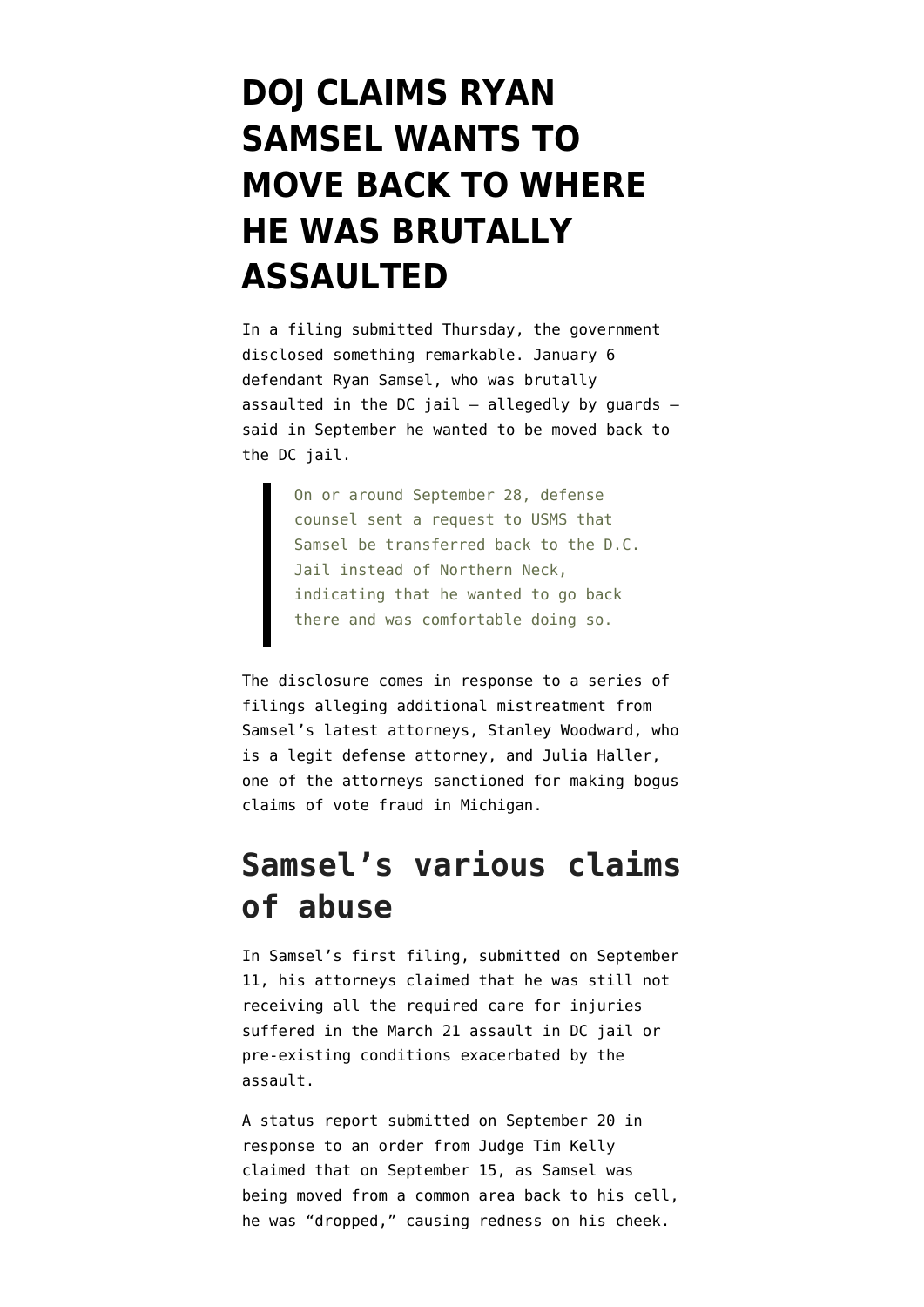# **[DOJ CLAIMS RYAN](https://www.emptywheel.net/2021/10/23/doj-claims-ryan-samsel-wants-to-move-back-to-where-he-was-brutally-assaulted/) [SAMSEL WANTS TO](https://www.emptywheel.net/2021/10/23/doj-claims-ryan-samsel-wants-to-move-back-to-where-he-was-brutally-assaulted/) [MOVE BACK TO WHERE](https://www.emptywheel.net/2021/10/23/doj-claims-ryan-samsel-wants-to-move-back-to-where-he-was-brutally-assaulted/) [HE WAS BRUTALLY](https://www.emptywheel.net/2021/10/23/doj-claims-ryan-samsel-wants-to-move-back-to-where-he-was-brutally-assaulted/) [ASSAULTED](https://www.emptywheel.net/2021/10/23/doj-claims-ryan-samsel-wants-to-move-back-to-where-he-was-brutally-assaulted/)**

In a [filing](https://storage.courtlistener.com/recap/gov.uscourts.dcd.234880/gov.uscourts.dcd.234880.57.0.pdf) submitted Thursday, the government disclosed something remarkable. January 6 defendant Ryan Samsel, who was brutally assaulted in the DC jail  $-$  allegedly by quards  $$ said in September he wanted to be moved back to the DC jail.

> On or around September 28, defense counsel sent a request to USMS that Samsel be transferred back to the D.C. Jail instead of Northern Neck, indicating that he wanted to go back there and was comfortable doing so.

The disclosure comes in response to a series of filings alleging additional mistreatment from Samsel's latest attorneys, Stanley Woodward, who is a legit defense attorney, and Julia Haller, one of the attorneys [sanctioned](https://www.michigan.gov/documents/ag/172_opinion__order_King_733786_7.pdf) for making bogus claims of vote fraud in Michigan.

## **Samsel's various claims of abuse**

In [Samsel's first filing,](https://storage.courtlistener.com/recap/gov.uscourts.dcd.234880/gov.uscourts.dcd.234880.49.0_1.pdf) submitted on September 11, his attorneys claimed that he was still not receiving all the required care for injuries suffered in the March 21 assault in DC jail or pre-existing conditions exacerbated by the assault.

A [status report](https://storage.courtlistener.com/recap/gov.uscourts.dcd.234880/gov.uscourts.dcd.234880.50.0.pdf) submitted on September 20 in response to an order from Judge Tim Kelly claimed that on September 15, as Samsel was being moved from a common area back to his cell, he was "dropped," causing redness on his cheek.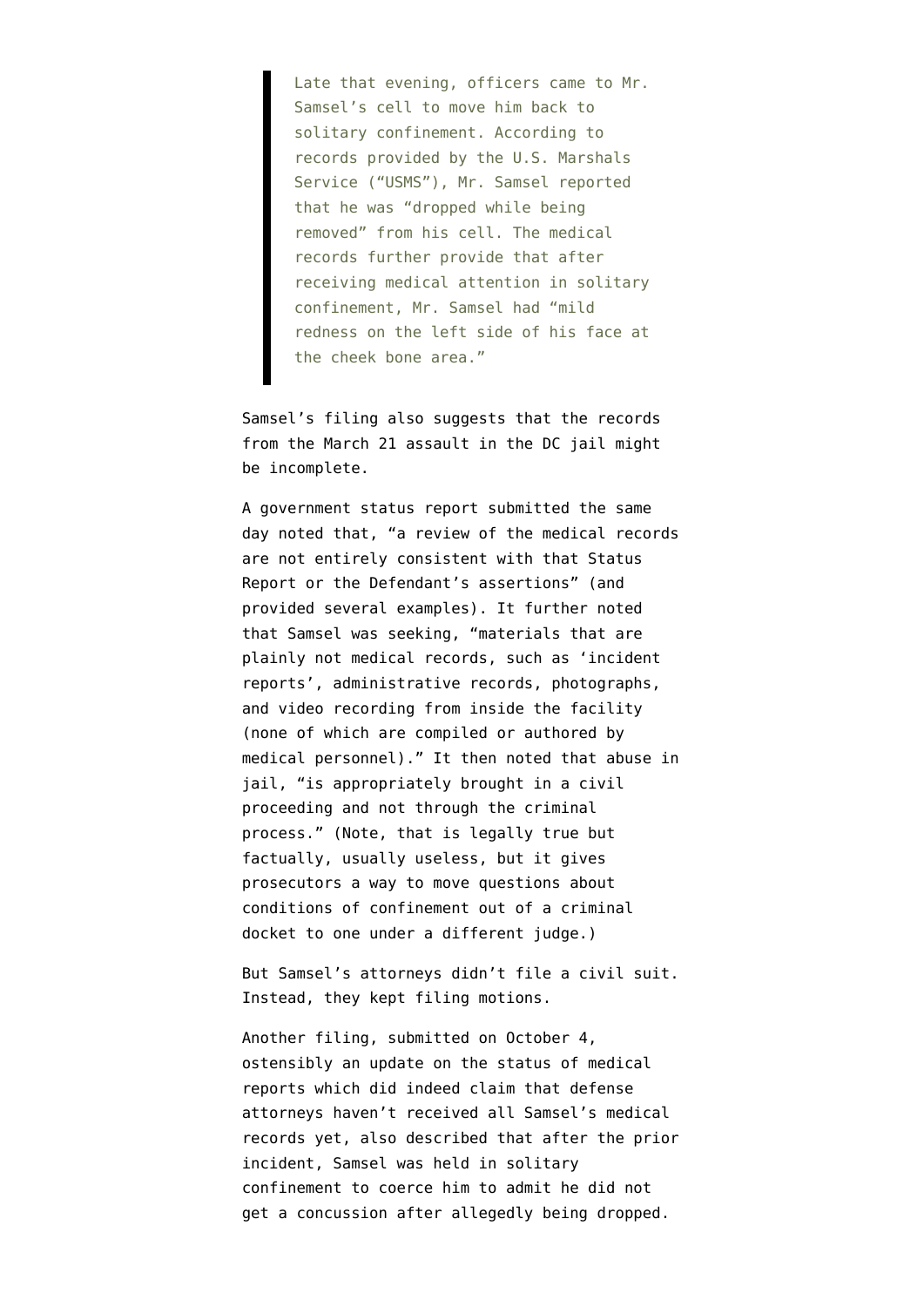Late that evening, officers came to Mr. Samsel's cell to move him back to solitary confinement. According to records provided by the U.S. Marshals Service ("USMS"), Mr. Samsel reported that he was "dropped while being removed" from his cell. The medical records further provide that after receiving medical attention in solitary confinement, Mr. Samsel had "mild redness on the left side of his face at the cheek bone area."

Samsel's filing also suggests that the records from the March 21 assault in the DC jail might be incomplete.

A [government status report](https://storage.courtlistener.com/recap/gov.uscourts.dcd.234880/gov.uscourts.dcd.234880.51.0.pdf) submitted the same day noted that, "a review of the medical records are not entirely consistent with that Status Report or the Defendant's assertions" (and provided several examples). It further noted that Samsel was seeking, "materials that are plainly not medical records, such as 'incident reports', administrative records, photographs, and video recording from inside the facility (none of which are compiled or authored by medical personnel)." It then noted that abuse in jail, "is appropriately brought in a civil proceeding and not through the criminal process." (Note, that is legally true but factually, usually useless, but it gives prosecutors a way to move questions about conditions of confinement out of a criminal docket to one under a different judge.)

But Samsel's attorneys didn't file a civil suit. Instead, they kept filing motions.

Another filing, [submitted on October 4,](https://storage.courtlistener.com/recap/gov.uscourts.dcd.234880/gov.uscourts.dcd.234880.54.0.pdf) ostensibly an update on the status of medical reports which did indeed claim that defense attorneys haven't received all Samsel's medical records yet, also described that after the prior incident, Samsel was held in solitary confinement to coerce him to admit he did not get a concussion after allegedly being dropped.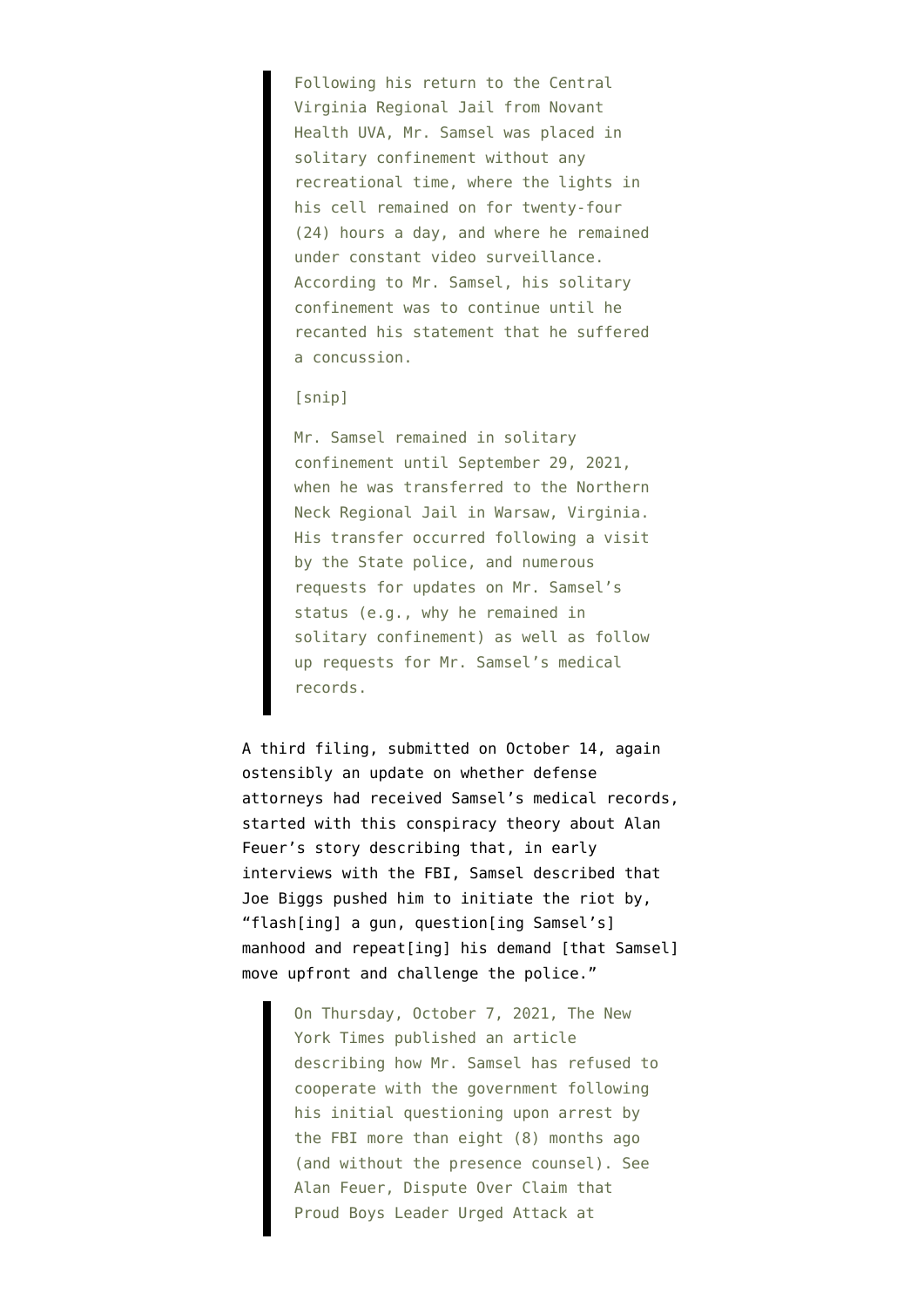Following his return to the Central Virginia Regional Jail from Novant Health UVA, Mr. Samsel was placed in solitary confinement without any recreational time, where the lights in his cell remained on for twenty-four (24) hours a day, and where he remained under constant video surveillance. According to Mr. Samsel, his solitary confinement was to continue until he recanted his statement that he suffered a concussion.

### [snip]

Mr. Samsel remained in solitary confinement until September 29, 2021, when he was transferred to the Northern Neck Regional Jail in Warsaw, Virginia. His transfer occurred following a visit by the State police, and numerous requests for updates on Mr. Samsel's status (e.g., why he remained in solitary confinement) as well as follow up requests for Mr. Samsel's medical records.

A third filing, [submitted on October 14,](https://storage.courtlistener.com/recap/gov.uscourts.dcd.234880/gov.uscourts.dcd.234880.55.0_2.pdf) again ostensibly an update on whether defense attorneys had received Samsel's medical records, started with this conspiracy theory about [Alan](https://www.nytimes.com/2021/10/07/us/politics/proud-boys-capitol-riot.html) [Feuer's story](https://www.nytimes.com/2021/10/07/us/politics/proud-boys-capitol-riot.html) describing that, in early interviews with the FBI, Samsel described that Joe Biggs pushed him to initiate the riot by, "flash[ing] a gun, question[ing Samsel's] manhood and repeat[ing] his demand [that Samsel] move upfront and challenge the police."

> On Thursday, October 7, 2021, The New York Times published an article describing how Mr. Samsel has refused to cooperate with the government following his initial questioning upon arrest by the FBI more than eight (8) months ago (and without the presence counsel). See Alan Feuer, Dispute Over Claim that Proud Boys Leader Urged Attack at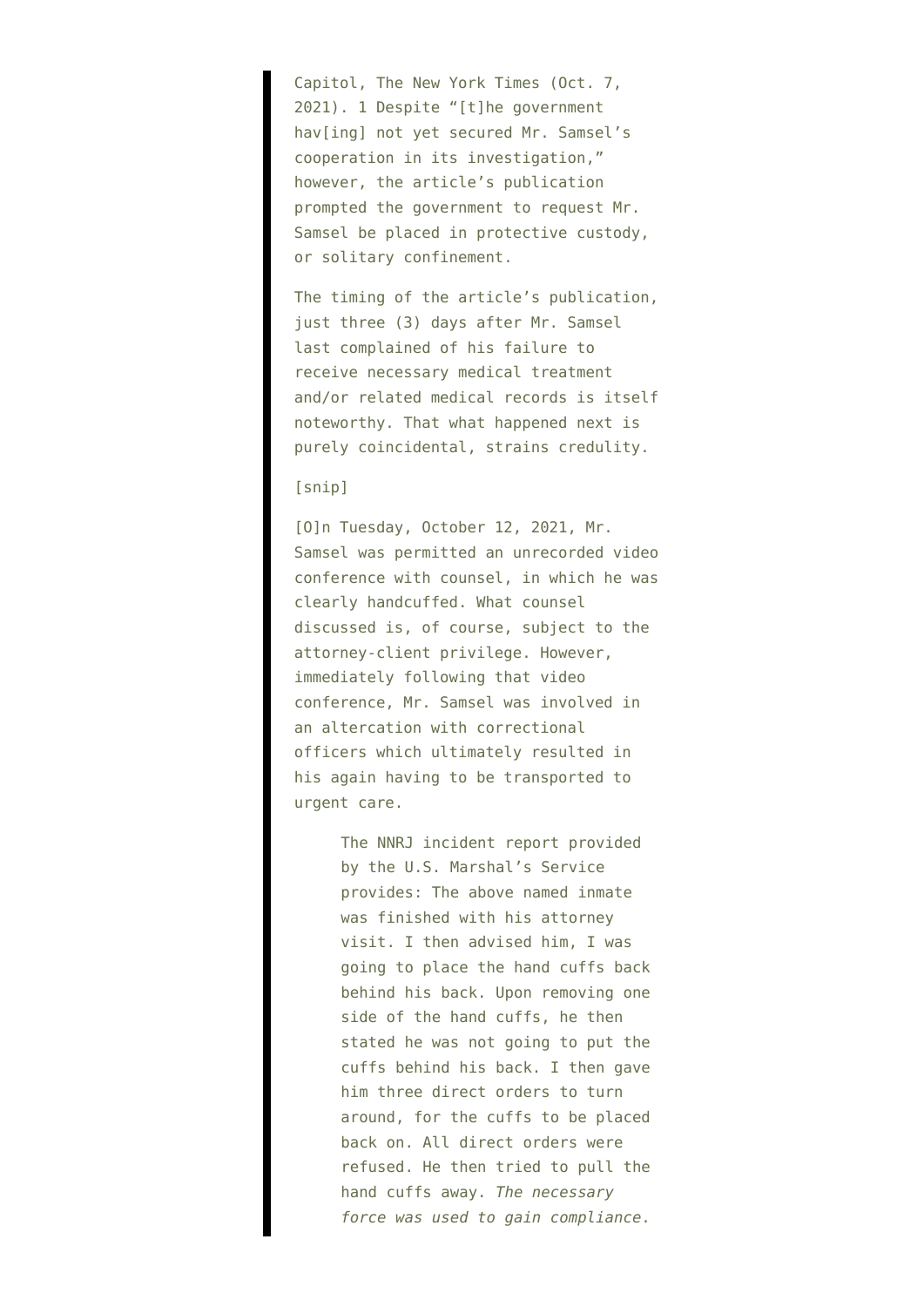Capitol, The New York Times (Oct. 7, 2021). 1 Despite "[t]he government hav[ing] not yet secured Mr. Samsel's cooperation in its investigation," however, the article's publication prompted the government to request Mr. Samsel be placed in protective custody, or solitary confinement.

The timing of the article's publication, just three (3) days after Mr. Samsel last complained of his failure to receive necessary medical treatment and/or related medical records is itself noteworthy. That what happened next is purely coincidental, strains credulity.

### [snip]

[O]n Tuesday, October 12, 2021, Mr. Samsel was permitted an unrecorded video conference with counsel, in which he was clearly handcuffed. What counsel discussed is, of course, subject to the attorney-client privilege. However, immediately following that video conference, Mr. Samsel was involved in an altercation with correctional officers which ultimately resulted in his again having to be transported to urgent care.

> The NNRJ incident report provided by the U.S. Marshal's Service provides: The above named inmate was finished with his attorney visit. I then advised him, I was going to place the hand cuffs back behind his back. Upon removing one side of the hand cuffs, he then stated he was not going to put the cuffs behind his back. I then gave him three direct orders to turn around, for the cuffs to be placed back on. All direct orders were refused. He then tried to pull the hand cuffs away. *The necessary force was used to gain compliance*.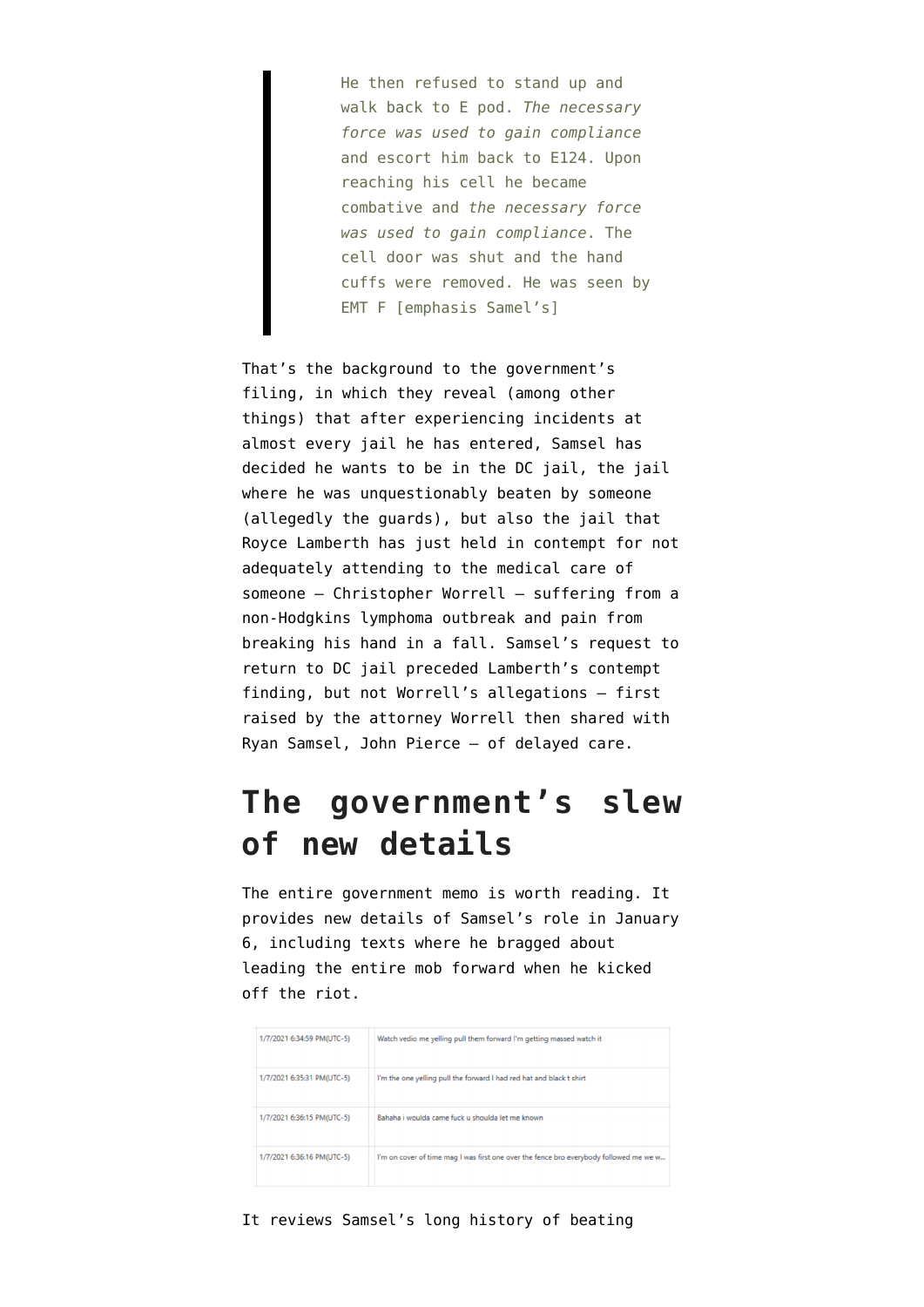He then refused to stand up and walk back to E pod. *The necessary force was used to gain compliance* and escort him back to E124. Upon reaching his cell he became combative and *the necessary force was used to gain compliance*. The cell door was shut and the hand cuffs were removed. He was seen by EMT F [emphasis Samel's]

That's the background to the government's filing, in which they reveal (among other things) that after experiencing incidents at almost every jail he has entered, Samsel has decided he wants to be in the DC jail, the jail where he was unquestionably beaten by someone (allegedly the guards), but also the jail that Royce Lamberth has [just held in contempt](https://www.emptywheel.net/2021/10/13/royce-lamberth-refers-dc-jail-to-doj-for-civil-rights-investigation/) for not adequately attending to the medical care of someone — Christopher Worrell — suffering from a non-Hodgkins lymphoma outbreak and pain from breaking his hand in a fall. Samsel's request to return to DC jail preceded Lamberth's contempt finding, but not Worrell's allegations — first raised by the attorney Worrell then shared with Ryan Samsel, John Pierce — of delayed care.

## **The government's slew of new details**

The entire government memo is worth reading. It provides new details of Samsel's role in January 6, including texts where he bragged about leading the entire mob forward when he kicked off the riot.

| 1/7/2021 6:34:59 PM(UTC-5) | Watch vedio me yelling pull them forward I'm getting massed watch it                   |
|----------------------------|----------------------------------------------------------------------------------------|
| 1/7/2021 6:35:31 PM(UTC-5) | I'm the one yelling pull the forward I had red hat and black t shirt                   |
| 1/7/2021 6:36:15 PM(UTC-5) | Bahaha i woulda came fuck u shoulda let me known                                       |
| 1/7/2021 6:36:16 PM(UTC-5) | I'm on cover of time mag I was first one over the fence bro everybody followed me we w |

It reviews Samsel's long history of beating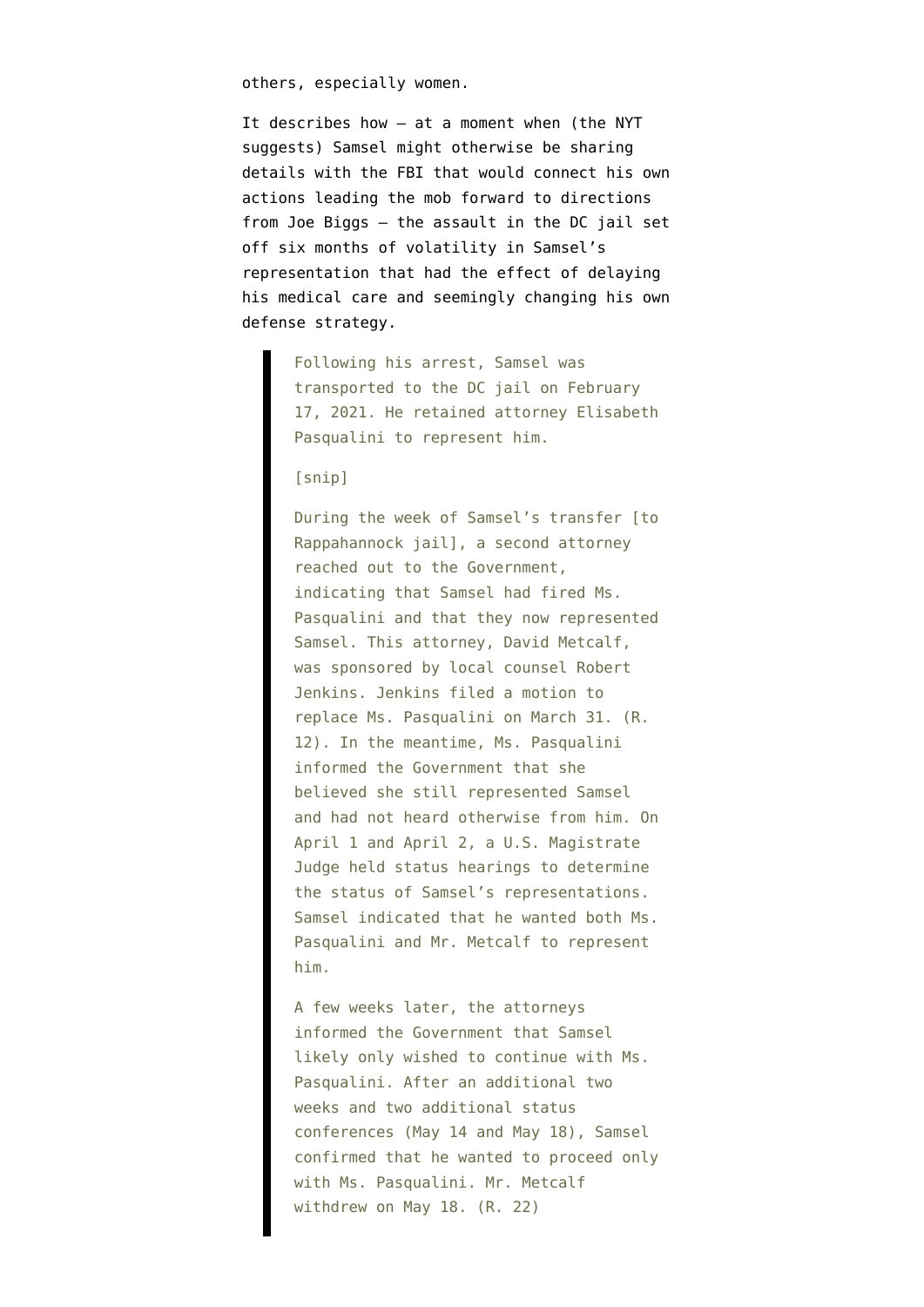others, especially women.

It describes how — at a moment when (the NYT suggests) Samsel might otherwise be sharing details with the FBI that would connect his own actions leading the mob forward to directions from Joe Biggs — the assault in the DC jail set off six months of volatility in Samsel's representation that had the effect of delaying his medical care and seemingly changing his own defense strategy.

> Following his arrest, Samsel was transported to the DC jail on February 17, 2021. He retained attorney Elisabeth Pasqualini to represent him.

#### [snip]

During the week of Samsel's transfer [to Rappahannock jail], a second attorney reached out to the Government, indicating that Samsel had fired Ms. Pasqualini and that they now represented Samsel. This attorney, David Metcalf, was sponsored by local counsel Robert Jenkins. Jenkins filed a motion to replace Ms. Pasqualini on March 31. (R. 12). In the meantime, Ms. Pasqualini informed the Government that she believed she still represented Samsel and had not heard otherwise from him. On April 1 and April 2, a U.S. Magistrate Judge held status hearings to determine the status of Samsel's representations. Samsel indicated that he wanted both Ms. Pasqualini and Mr. Metcalf to represent him.

A few weeks later, the attorneys informed the Government that Samsel likely only wished to continue with Ms. Pasqualini. After an additional two weeks and two additional status conferences (May 14 and May 18), Samsel confirmed that he wanted to proceed only with Ms. Pasqualini. Mr. Metcalf withdrew on May 18. (R. 22)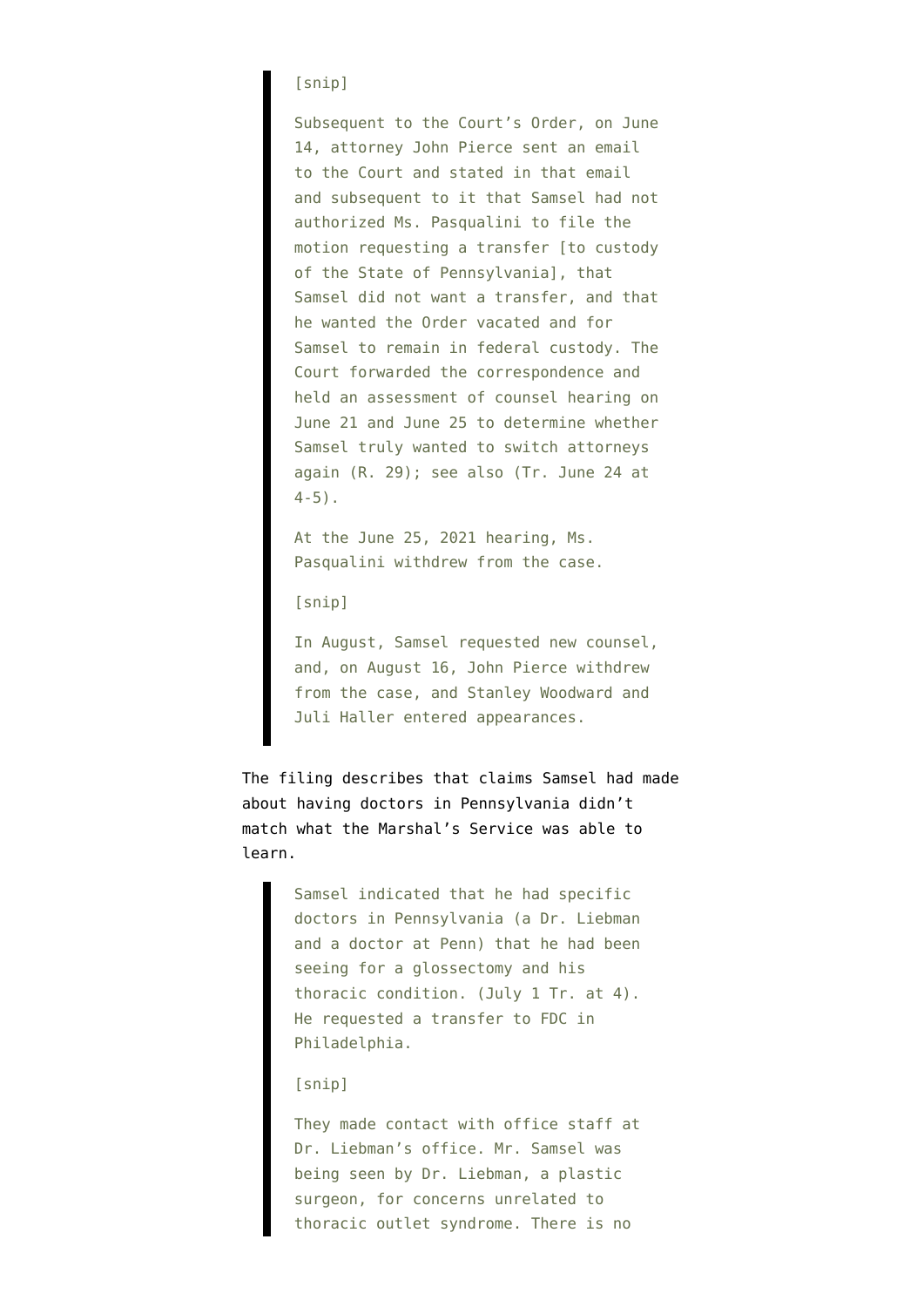### [snip]

Subsequent to the Court's Order, on June 14, attorney John Pierce sent an email to the Court and stated in that email and subsequent to it that Samsel had not authorized Ms. Pasqualini to file the motion requesting a transfer [to custody of the State of Pennsylvania], that Samsel did not want a transfer, and that he wanted the Order vacated and for Samsel to remain in federal custody. The Court forwarded the correspondence and held an assessment of counsel hearing on June 21 and June 25 to determine whether Samsel truly wanted to switch attorneys again (R. 29); see also (Tr. June 24 at  $4-5$ ).

At the June 25, 2021 hearing, Ms. Pasqualini withdrew from the case.

[snip]

In August, Samsel requested new counsel, and, on August 16, John Pierce withdrew from the case, and Stanley Woodward and Juli Haller entered appearances.

The filing describes that claims Samsel had made about having doctors in Pennsylvania didn't match what the Marshal's Service was able to learn.

> Samsel indicated that he had specific doctors in Pennsylvania (a Dr. Liebman and a doctor at Penn) that he had been seeing for a glossectomy and his thoracic condition. (July 1 Tr. at 4). He requested a transfer to FDC in Philadelphia.

[snip]

They made contact with office staff at Dr. Liebman's office. Mr. Samsel was being seen by Dr. Liebman, a plastic surgeon, for concerns unrelated to thoracic outlet syndrome. There is no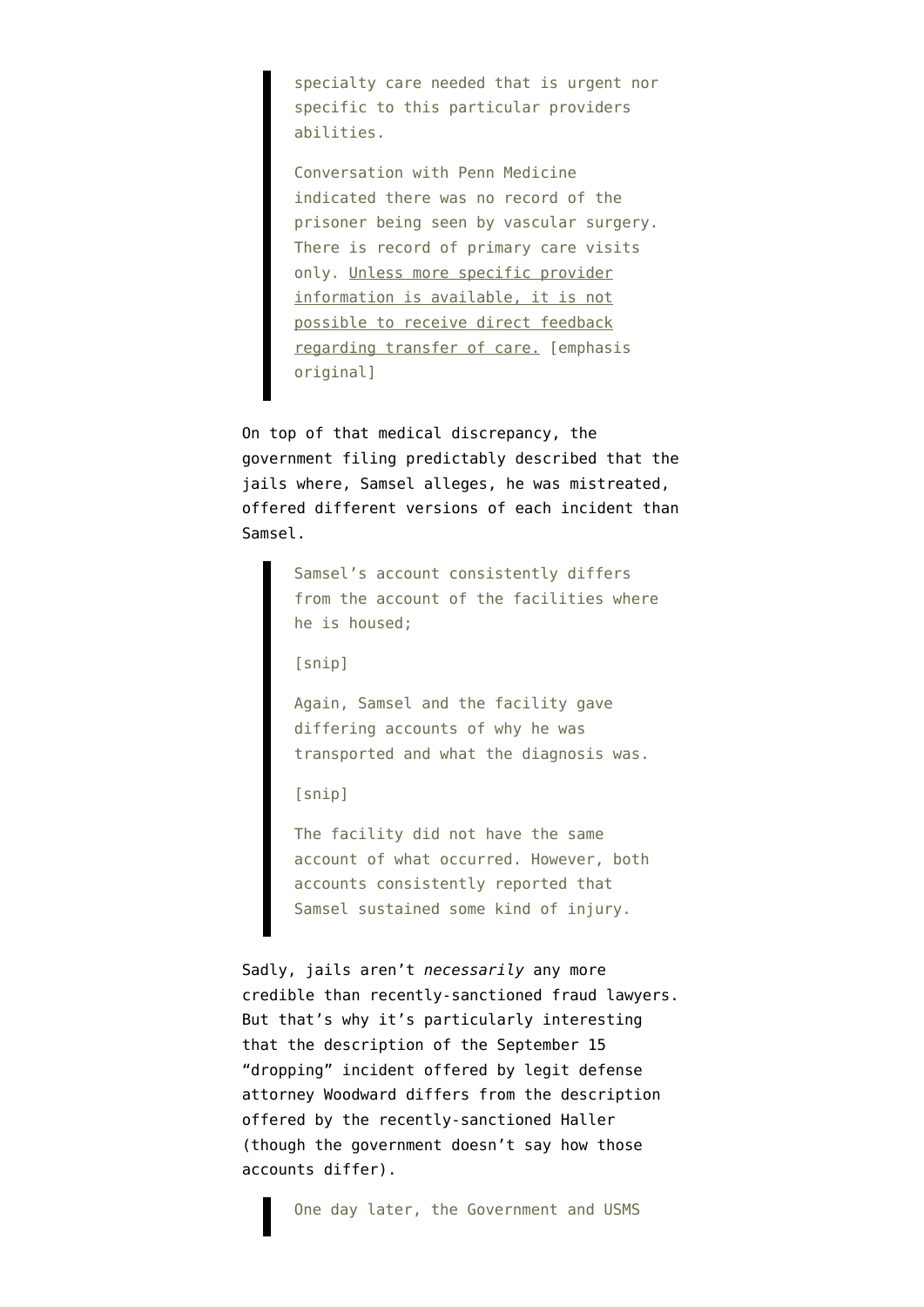specialty care needed that is urgent nor specific to this particular providers abilities.

Conversation with Penn Medicine indicated there was no record of the prisoner being seen by vascular surgery. There is record of primary care visits only. Unless more specific provider information is available, it is not possible to receive direct feedback regarding transfer of care. [emphasis original]

On top of that medical discrepancy, the government filing predictably described that the jails where, Samsel alleges, he was mistreated, offered different versions of each incident than Samsel.

> Samsel's account consistently differs from the account of the facilities where he is housed;

[snip]

Again, Samsel and the facility gave differing accounts of why he was transported and what the diagnosis was.

[snip]

The facility did not have the same account of what occurred. However, both accounts consistently reported that Samsel sustained some kind of injury.

Sadly, jails aren't *necessarily* any more credible than recently-sanctioned fraud lawyers. But that's why it's particularly interesting that the description of the September 15 "dropping" incident offered by legit defense attorney Woodward differs from the description offered by the recently-sanctioned Haller (though the government doesn't say how those accounts differ).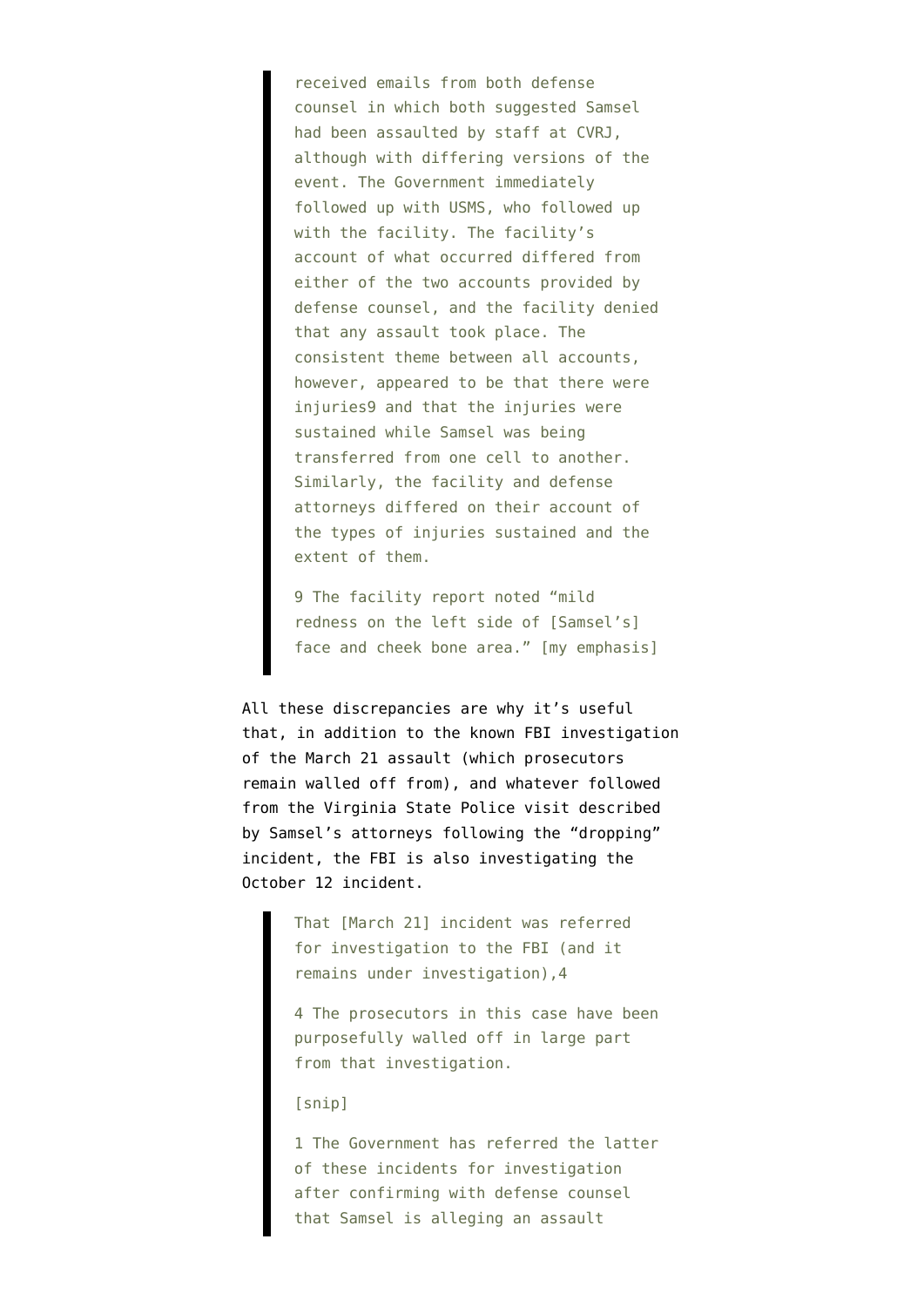received emails from both defense counsel in which both suggested Samsel had been assaulted by staff at CVRJ, although with differing versions of the event. The Government immediately followed up with USMS, who followed up with the facility. The facility's account of what occurred differed from either of the two accounts provided by defense counsel, and the facility denied that any assault took place. The consistent theme between all accounts, however, appeared to be that there were injuries9 and that the injuries were sustained while Samsel was being transferred from one cell to another. Similarly, the facility and defense attorneys differed on their account of the types of injuries sustained and the extent of them.

9 The facility report noted "mild redness on the left side of [Samsel's] face and cheek bone area." [my emphasis]

All these discrepancies are why it's useful that, in addition to the known FBI investigation of the March 21 assault (which prosecutors remain walled off from), and whatever followed from the Virginia State Police visit described by Samsel's attorneys following the "dropping" incident, the FBI is also investigating the October 12 incident.

> That [March 21] incident was referred for investigation to the FBI (and it remains under investigation),4

4 The prosecutors in this case have been purposefully walled off in large part from that investigation.

### [snip]

1 The Government has referred the latter of these incidents for investigation after confirming with defense counsel that Samsel is alleging an assault